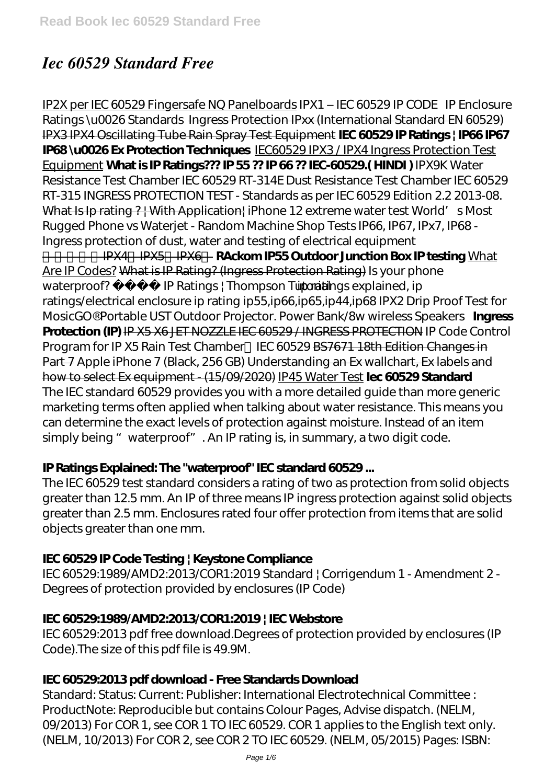# *Iec 60529 Standard Free*

IP2X per IEC 60529 Fingersafe NQ Panelboards *IPX1 – IEC 60529 IP CODE IP Enclosure Ratings \u0026 Standards* Ingress Protection IPxx (International Standard EN 60529) IPX3 IPX4 Oscillating Tube Rain Spray Test Equipment **IEC 60529 IP Ratings | IP66 IP67 IP68 \u0026 Ex Protection Techniques** IEC60529 IPX3 / IPX4 Ingress Protection Test Equipment **What is IP Ratings??? IP 55 ?? IP 66 ?? IEC-60529.( HINDI )** *IPX9K Water Resistance Test Chamber IEC 60529 RT-314E Dust Resistance Test Chamber IEC 60529 RT-315* INGRESS PROTECTION TEST - Standards as per IEC 60529 Edition 2.2 2013-08. What Is Ip rating ? | With Application| *iPhone 12 extreme water test World's Most Rugged Phone vs Waterjet - Random Machine Shop Tests IP66, IP67, IPx7, IP68 - Ingress protection of dust, water and testing of electrical equipment* 防水試験(IPX4、IPX5、IPX6) **RAckom IP55 Outdoor Junction Box IP testing** What Are IP Codes? What is IP Rating? (Ingress Protection Rating) *Is your phone waterproof? IP Ratings | Thompson Tutorial ip ratings explained, ip ratings/electrical enclosure ip rating ip55,ip66,ip65,ip44,ip68 IPX2 Drip Proof Test for MosicGO® Portable UST Outdoor Projector. Power Bank/8w wireless Speakers* **Ingress Protection (IP)** IP X5 X6 JET NOZZLE IEC 60529 / INGRESS PROTECTION *IP Code Control Program for IP X5 Rain Test Chamber IEC 60529 BS7671 18th Edition Changes in* Part 7 Apple iPhone 7 (Black, 256 GB) Understanding an Ex wallchart, Ex labels and how to select Ex equipment - (15/09/2020) IP45 Water Test **Iec 60529 Standard**  The IEC standard 60529 provides you with a more detailed guide than more generic marketing terms often applied when talking about water resistance. This means you can determine the exact levels of protection against moisture. Instead of an item simply being " waterproof". An IP rating is, in summary, a two digit code.

# **IP Ratings Explained: The "waterproof" IEC standard 60529 ...**

The IEC 60529 test standard considers a rating of two as protection from solid objects greater than 12.5 mm. An IP of three means IP ingress protection against solid objects greater than 2.5 mm. Enclosures rated four offer protection from items that are solid objects greater than one mm.

# **IEC 60529 IP Code Testing | Keystone Compliance**

IEC 60529:1989/AMD2:2013/COR1:2019 Standard | Corrigendum 1 - Amendment 2 - Degrees of protection provided by enclosures (IP Code)

### **IEC 60529:1989/AMD2:2013/COR1:2019 | IEC Webstore**

IEC 60529:2013 pdf free download.Degrees of protection provided by enclosures (IP Code).The size of this pdf file is 49.9M.

### **IEC 60529:2013 pdf download - Free Standards Download**

Standard: Status: Current: Publisher: International Electrotechnical Committee : ProductNote: Reproducible but contains Colour Pages, Advise dispatch. (NELM, 09/2013) For COR 1, see COR 1 TO IEC 60529. COR 1 applies to the English text only. (NELM, 10/2013) For COR 2, see COR 2 TO IEC 60529. (NELM, 05/2015) Pages: ISBN: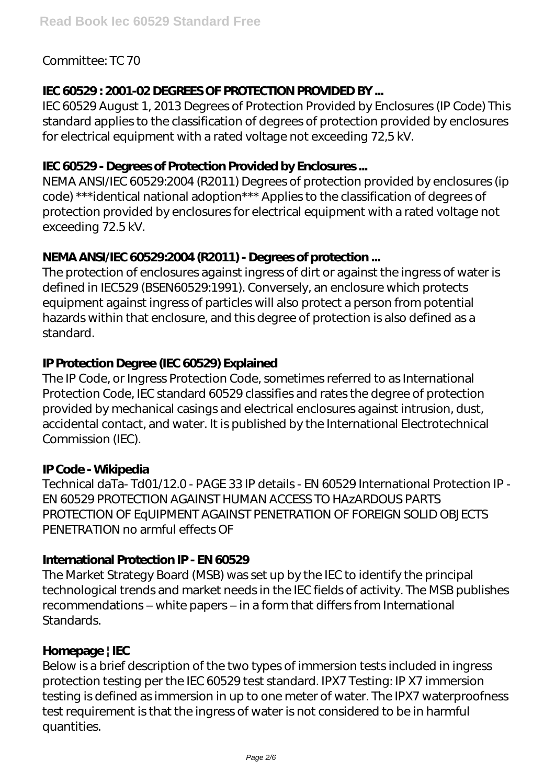### Committee: TC 70

### **IEC 60529 : 2001-02 DEGREES OF PROTECTION PROVIDED BY ...**

IEC 60529 August 1, 2013 Degrees of Protection Provided by Enclosures (IP Code) This standard applies to the classification of degrees of protection provided by enclosures for electrical equipment with a rated voltage not exceeding 72,5 kV.

### **IEC 60529 - Degrees of Protection Provided by Endosures...**

NEMA ANSI/IEC 60529:2004 (R2011) Degrees of protection provided by enclosures (ip code) \*\*\*identical national adoption\*\*\* Applies to the classification of degrees of protection provided by enclosures for electrical equipment with a rated voltage not exceeding 72.5 kV.

### **NEMA ANSI/IEC 60529:2004 (R2011) - Degrees of protection ...**

The protection of enclosures against ingress of dirt or against the ingress of water is defined in IEC529 (BSEN60529:1991). Conversely, an enclosure which protects equipment against ingress of particles will also protect a person from potential hazards within that enclosure, and this degree of protection is also defined as a standard.

### **IP Protection Degree (IEC 60529) Explained**

The IP Code, or Ingress Protection Code, sometimes referred to as International Protection Code, IEC standard 60529 classifies and rates the degree of protection provided by mechanical casings and electrical enclosures against intrusion, dust, accidental contact, and water. It is published by the International Electrotechnical Commission (IEC).

### **IP Code - Wikipedia**

Technical daTa- Td01/12.0 - PAGE 33 IP details - EN 60529 International Protection IP - EN 60529 PROTECTION AGAINST HUMAN ACCESS TO HAzARDOUS PARTS PROTECTION OF EqUIPMENT AGAINST PENETRATION OF FOREIGN SOLID OBJECTS PENETRATION no armful effects OF

### **International Protection IP - EN 60529**

The Market Strategy Board (MSB) was set up by the IEC to identify the principal technological trends and market needs in the IEC fields of activity. The MSB publishes recommendations – white papers – in a form that differs from International **Standards.** 

### **Homepage | IEC**

Below is a brief description of the two types of immersion tests included in ingress protection testing per the IEC 60529 test standard. IPX7 Testing: IP X7 immersion testing is defined as immersion in up to one meter of water. The IPX7 waterproofness test requirement is that the ingress of water is not considered to be in harmful quantities.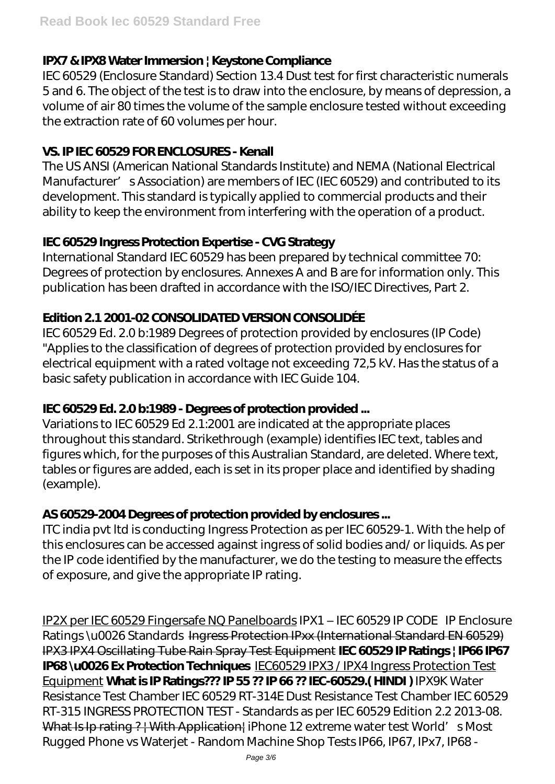# **IPX7 & IPX8 Water Immersion | Keystone Compliance**

IEC 60529 (Enclosure Standard) Section 13.4 Dust test for first characteristic numerals 5 and 6. The object of the test is to draw into the enclosure, by means of depression, a volume of air 80 times the volume of the sample enclosure tested without exceeding the extraction rate of 60 volumes per hour.

### **VS. IP IEC 60529 FOR ENCLOSURES - Kenall**

The US ANSI (American National Standards Institute) and NEMA (National Electrical Manufacturer' s Association) are members of IEC (IEC 60529) and contributed to its development. This standard is typically applied to commercial products and their ability to keep the environment from interfering with the operation of a product.

# **IEC 60529 Ingress Protection Expertise - CVG Strategy**

International Standard IEC 60529 has been prepared by technical committee 70: Degrees of protection by enclosures. Annexes A and B are for information only. This publication has been drafted in accordance with the ISO/IEC Directives, Part 2.

### **Edition 2.1 2001-02 CONSOLIDATED VERSION CONSOLIDÉE**

IEC 60529 Ed. 2.0 b:1989 Degrees of protection provided by enclosures (IP Code) "Applies to the classification of degrees of protection provided by enclosures for electrical equipment with a rated voltage not exceeding 72,5 kV. Has the status of a basic safety publication in accordance with IEC Guide 104.

# **IEC 60529 Ed. 2.0 b:1989 - Degrees of protection provided ...**

Variations to IEC 60529 Ed 2.1:2001 are indicated at the appropriate places throughout this standard. Strikethrough (example) identifies IEC text, tables and figures which, for the purposes of this Australian Standard, are deleted. Where text, tables or figures are added, each is set in its proper place and identified by shading (example).

# AS 60529-2004 Degrees of protection provided by enclosures...

ITC india pvt ltd is conducting Ingress Protection as per IEC 60529-1. With the help of this enclosures can be accessed against ingress of solid bodies and/ or liquids. As per the IP code identified by the manufacturer, we do the testing to measure the effects of exposure, and give the appropriate IP rating.

IP2X per IEC 60529 Fingersafe NQ Panelboards *IPX1 – IEC 60529 IP CODE IP Enclosure Ratings \u0026 Standards* Ingress Protection IPxx (International Standard EN 60529) IPX3 IPX4 Oscillating Tube Rain Spray Test Equipment **IEC 60529 IP Ratings | IP66 IP67 IP68 \u0026 Ex Protection Techniques** IEC60529 IPX3 / IPX4 Ingress Protection Test Equipment **What is IP Ratings??? IP 55 ?? IP 66 ?? IEC-60529.( HINDI )** *IPX9K Water Resistance Test Chamber IEC 60529 RT-314E Dust Resistance Test Chamber IEC 60529 RT-315* INGRESS PROTECTION TEST - Standards as per IEC 60529 Edition 2.2 2013-08. What Is Ip rating ? | With Application| *iPhone 12 extreme water test World's Most Rugged Phone vs Waterjet - Random Machine Shop Tests IP66, IP67, IPx7, IP68 -*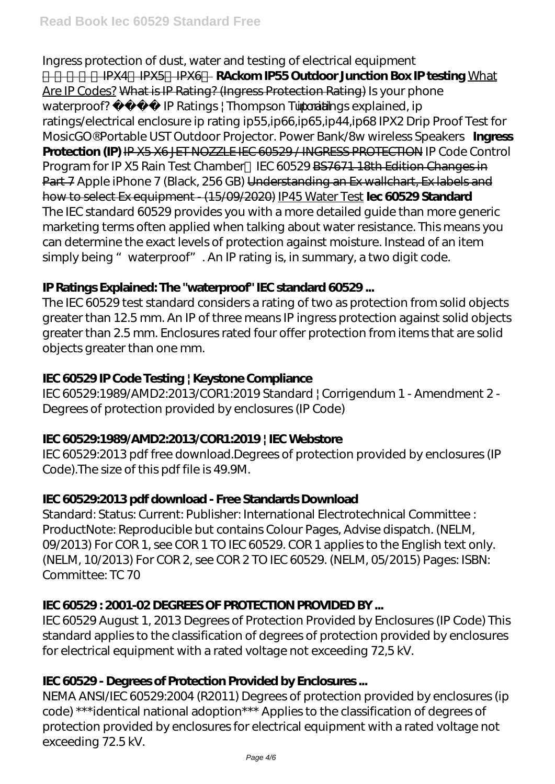# *Ingress protection of dust, water and testing of electrical equipment*

**IPX4 IPX5 IPX6 RAckom IP55 Outdoor Junction Box IP testing** What Are IP Codes? What is IP Rating? (Ingress Protection Rating) *Is your phone waterproof? IP Ratings | Thompson Tutorial ip ratings explained, ip ratings/electrical enclosure ip rating ip55,ip66,ip65,ip44,ip68 IPX2 Drip Proof Test for MosicGO® Portable UST Outdoor Projector. Power Bank/8w wireless Speakers* **Ingress Protection (IP)** IP X5 X6 JET NOZZLE IEC 60529 / INGRESS PROTECTION *IP Code Control Program for IP X5 Rain Test Chamber IEC 60529 BS7671 18th Edition Changes in* Part 7 Apple iPhone 7 (Black, 256 GB) Understanding an Ex wallchart, Ex labels and how to select Ex equipment - (15/09/2020) IP45 Water Test **Iec 60529 Standard**  The IEC standard 60529 provides you with a more detailed guide than more generic marketing terms often applied when talking about water resistance. This means you can determine the exact levels of protection against moisture. Instead of an item simply being " waterproof". An IP rating is, in summary, a two digit code.

# **IP Ratings Explained: The "waterproof" IEC standard 60529 ...**

The IEC 60529 test standard considers a rating of two as protection from solid objects greater than 12.5 mm. An IP of three means IP ingress protection against solid objects greater than 2.5 mm. Enclosures rated four offer protection from items that are solid objects greater than one mm.

# **IEC 60529 IP Code Testing | Keystone Compliance**

IEC 60529:1989/AMD2:2013/COR1:2019 Standard | Corrigendum 1 - Amendment 2 - Degrees of protection provided by enclosures (IP Code)

# **IEC 60529:1989/AMD2:2013/COR1:2019 | IEC Webstore**

IEC 60529:2013 pdf free download.Degrees of protection provided by enclosures (IP Code).The size of this pdf file is 49.9M.

# **IEC 60529:2013 pdf download - Free Standards Download**

Standard: Status: Current: Publisher: International Electrotechnical Committee : ProductNote: Reproducible but contains Colour Pages, Advise dispatch. (NELM, 09/2013) For COR 1, see COR 1 TO IEC 60529. COR 1 applies to the English text only. (NELM, 10/2013) For COR 2, see COR 2 TO IEC 60529. (NELM, 05/2015) Pages: ISBN: Committee: TC 70

# **IEC 60529 : 2001-02 DEGREES OF PROTECTION PROVIDED BY ...**

IEC 60529 August 1, 2013 Degrees of Protection Provided by Enclosures (IP Code) This standard applies to the classification of degrees of protection provided by enclosures for electrical equipment with a rated voltage not exceeding 72,5 kV.

# **IEC 60529 - Degrees of Protection Provided by Endosures...**

NEMA ANSI/IEC 60529:2004 (R2011) Degrees of protection provided by enclosures (ip code) \*\*\*identical national adoption\*\*\* Applies to the classification of degrees of protection provided by enclosures for electrical equipment with a rated voltage not exceeding 72.5 kV.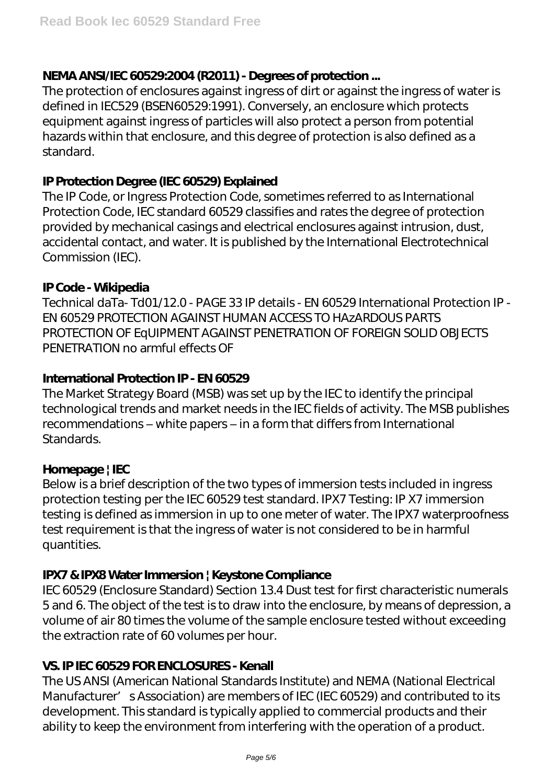### **NEMA ANSI/IEC 60529:2004 (R2011) - Degrees of protection ...**

The protection of enclosures against ingress of dirt or against the ingress of water is defined in IEC529 (BSEN60529:1991). Conversely, an enclosure which protects equipment against ingress of particles will also protect a person from potential hazards within that enclosure, and this degree of protection is also defined as a standard.

#### **IP Protection Degree (IEC 60529) Explained**

The IP Code, or Ingress Protection Code, sometimes referred to as International Protection Code, IEC standard 60529 classifies and rates the degree of protection provided by mechanical casings and electrical enclosures against intrusion, dust, accidental contact, and water. It is published by the International Electrotechnical Commission (IEC).

### **IP Code - Wikipedia**

Technical daTa- Td01/12.0 - PAGE 33 IP details - EN 60529 International Protection IP - EN 60529 PROTECTION AGAINST HUMAN ACCESS TO HAzARDOUS PARTS PROTECTION OF EqUIPMENT AGAINST PENETRATION OF FOREIGN SOLID OBJECTS PENETRATION no armful effects OF

### **International Protection IP - EN 60529**

The Market Strategy Board (MSB) was set up by the IEC to identify the principal technological trends and market needs in the IEC fields of activity. The MSB publishes recommendations – white papers – in a form that differs from International **Standards.** 

### **Homepage | IEC**

Below is a brief description of the two types of immersion tests included in ingress protection testing per the IEC 60529 test standard. IPX7 Testing: IP X7 immersion testing is defined as immersion in up to one meter of water. The IPX7 waterproofness test requirement is that the ingress of water is not considered to be in harmful quantities.

### **IPX7 & IPX8 Water Immersion | Keystone Compliance**

IEC 60529 (Enclosure Standard) Section 13.4 Dust test for first characteristic numerals 5 and 6. The object of the test is to draw into the enclosure, by means of depression, a volume of air 80 times the volume of the sample enclosure tested without exceeding the extraction rate of 60 volumes per hour.

### **VS. IP IEC 60529 FOR ENCLOSURES - Kenall**

The US ANSI (American National Standards Institute) and NEMA (National Electrical Manufacturer' s Association) are members of IEC (IEC 60529) and contributed to its development. This standard is typically applied to commercial products and their ability to keep the environment from interfering with the operation of a product.